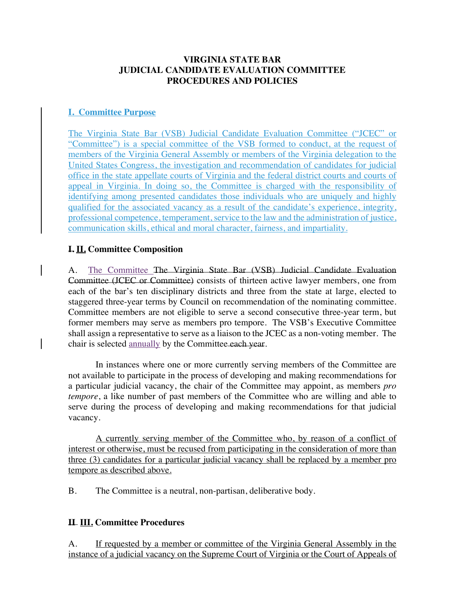## **VIRGINIA STATE BAR JUDICIAL CANDIDATE EVALUATION COMMITTEE PROCEDURES AND POLICIES**

## **I. Committee Purpose**

The Virginia State Bar (VSB) Judicial Candidate Evaluation Committee ("JCEC" or "Committee") is a special committee of the VSB formed to conduct, at the request of members of the Virginia General Assembly or members of the Virginia delegation to the United States Congress, the investigation and recommendation of candidates for judicial office in the state appellate courts of Virginia and the federal district courts and courts of appeal in Virginia. In doing so, the Committee is charged with the responsibility of identifying among presented candidates those individuals who are uniquely and highly qualified for the associated vacancy as a result of the candidate's experience, integrity, professional competence, temperament, service to the law and the administration of justice, communication skills, ethical and moral character, fairness, and impartiality.

## **I. II. Committee Composition**

A. The Committee The Virginia State Bar (VSB) Judicial Candidate Evaluation Committee (JCEC or Committee) consists of thirteen active lawyer members, one from each of the bar's ten disciplinary districts and three from the state at large, elected to staggered three-year terms by Council on recommendation of the nominating committee. Committee members are not eligible to serve a second consecutive three-year term, but former members may serve as members pro tempore. The VSB's Executive Committee shall assign a representative to serve as a liaison to the JCEC as a non-voting member. The chair is selected annually by the Committee each year.

In instances where one or more currently serving members of the Committee are not available to participate in the process of developing and making recommendations for a particular judicial vacancy, the chair of the Committee may appoint, as members *pro tempore*, a like number of past members of the Committee who are willing and able to serve during the process of developing and making recommendations for that judicial vacancy.

A currently serving member of the Committee who, by reason of a conflict of interest or otherwise, must be recused from participating in the consideration of more than three (3) candidates for a particular judicial vacancy shall be replaced by a member pro tempore as described above.

B. The Committee is a neutral, non-partisan, deliberative body.

## **II III. Committee Procedures**

A. If requested by a member or committee of the Virginia General Assembly in the instance of a judicial vacancy on the Supreme Court of Virginia or the Court of Appeals of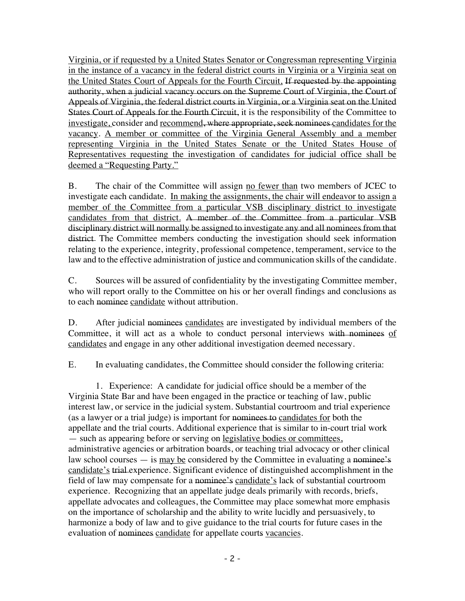Virginia, or if requested by a United States Senator or Congressman representing Virginia in the instance of a vacancy in the federal district courts in Virginia or a Virginia seat on the United States Court of Appeals for the Fourth Circuit, If requested by the appointing authority, when a judicial vacancy occurs on the Supreme Court of Virginia, the Court of Appeals of Virginia, the federal district courts in Virginia, or a Virginia seat on the United States Court of Appeals for the Fourth Circuit, it is the responsibility of the Committee to investigate, consider and recommend, where appropriate, seek nominees candidates for the vacancy. A member or committee of the Virginia General Assembly and a member representing Virginia in the United States Senate or the United States House of Representatives requesting the investigation of candidates for judicial office shall be deemed a "Requesting Party."

B. The chair of the Committee will assign no fewer than two members of JCEC to investigate each candidate. In making the assignments, the chair will endeavor to assign a member of the Committee from a particular VSB disciplinary district to investigate candidates from that district. A member of the Committee from a particular VSB disciplinary district will normally be assigned to investigate any and all nominees from that district The Committee members conducting the investigation should seek information relating to the experience, integrity, professional competence, temperament, service to the law and to the effective administration of justice and communication skills of the candidate.

C. Sources will be assured of confidentiality by the investigating Committee member, who will report orally to the Committee on his or her overall findings and conclusions as to each nominee candidate without attribution.

D. After judicial nominees candidates are investigated by individual members of the Committee, it will act as a whole to conduct personal interviews with nominees of candidates and engage in any other additional investigation deemed necessary.

E. In evaluating candidates, the Committee should consider the following criteria:

1. Experience: A candidate for judicial office should be a member of the Virginia State Bar and have been engaged in the practice or teaching of law, public interest law, or service in the judicial system. Substantial courtroom and trial experience (as a lawyer or a trial judge) is important for nominees to candidates for both the appellate and the trial courts. Additional experience that is similar to in-court trial work — such as appearing before or serving on legislative bodies or committees, administrative agencies or arbitration boards, or teaching trial advocacy or other clinical law school courses  $-$  is  $\frac{\text{may}}{\text{be}}$  considered by the Committee in evaluating a nominee's candidate's trial experience. Significant evidence of distinguished accomplishment in the field of law may compensate for a nominee's candidate's lack of substantial courtroom experience. Recognizing that an appellate judge deals primarily with records, briefs, appellate advocates and colleagues, the Committee may place somewhat more emphasis on the importance of scholarship and the ability to write lucidly and persuasively, to harmonize a body of law and to give guidance to the trial courts for future cases in the evaluation of nominees candidate for appellate courts vacancies.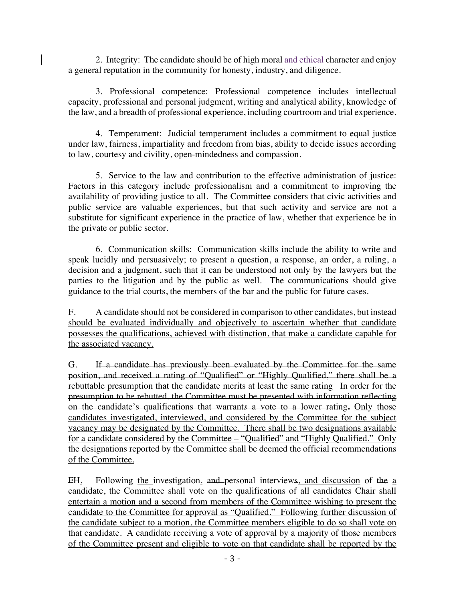2. Integrity: The candidate should be of high moral and ethical character and enjoy a general reputation in the community for honesty, industry, and diligence.

3. Professional competence: Professional competence includes intellectual capacity, professional and personal judgment, writing and analytical ability, knowledge of the law, and a breadth of professional experience, including courtroom and trial experience.

4. Temperament: Judicial temperament includes a commitment to equal justice under law, fairness, impartiality and freedom from bias, ability to decide issues according to law, courtesy and civility, open-mindedness and compassion.

5. Service to the law and contribution to the effective administration of justice: Factors in this category include professionalism and a commitment to improving the availability of providing justice to all. The Committee considers that civic activities and public service are valuable experiences, but that such activity and service are not a substitute for significant experience in the practice of law, whether that experience be in the private or public sector.

6. Communication skills: Communication skills include the ability to write and speak lucidly and persuasively; to present a question, a response, an order, a ruling, a decision and a judgment, such that it can be understood not only by the lawyers but the parties to the litigation and by the public as well. The communications should give guidance to the trial courts, the members of the bar and the public for future cases.

F. A candidate should not be considered in comparison to other candidates, but instead should be evaluated individually and objectively to ascertain whether that candidate possesses the qualifications, achieved with distinction, that make a candidate capable for the associated vacancy.

G. If a candidate has previously been evaluated by the Committee for the same position, and received a rating of "Qualified" or "Highly Qualified," there shall be a rebuttable presumption that the candidate merits at least the same rating In order for the presumption to be rebutted, the Committee must be presented with information reflecting on the candidate's qualifications that warrant*s* a vote to a lower rating**.** Only those candidates investigated, interviewed, and considered by the Committee for the subject vacancy may be designated by the Committee. There shall be two designations available for a candidate considered by the Committee – "Qualified" and "Highly Qualified." Only the designations reported by the Committee shall be deemed the official recommendations of the Committee.

FH. Following the investigation. and personal interviews, and discussion of the a candidate, the Committee shall vote on the qualifications of all candidates Chair shall entertain a motion and a second from members of the Committee wishing to present the candidate to the Committee for approval as "Qualified." Following further discussion of the candidate subject to a motion, the Committee members eligible to do so shall vote on that candidate. A candidate receiving a vote of approval by a majority of those members of the Committee present and eligible to vote on that candidate shall be reported by the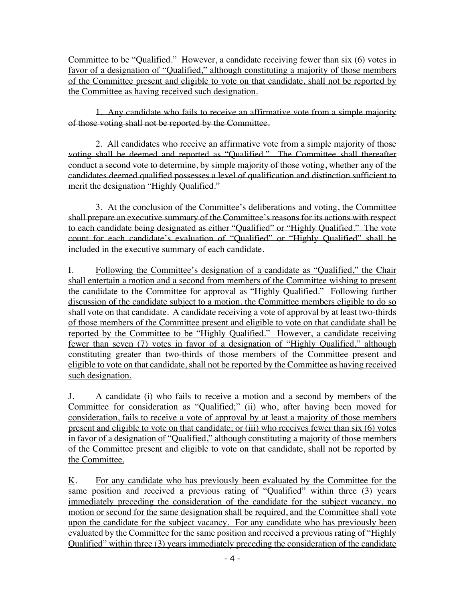Committee to be "Qualified." However, a candidate receiving fewer than six (6) votes in favor of a designation of "Qualified," although constituting a majority of those members of the Committee present and eligible to vote on that candidate, shall not be reported by the Committee as having received such designation.

1. Any candidate who fails to receive an affirmative vote from a simple majority of those voting shall not be reported by the Committee.

2. All candidates who receive an affirmative vote from a simple majority of those voting shall be deemed and reported as "Qualified " The Committee shall thereafter conduct a second vote to determine, by simple majority of those voting, whether any of the candidates deemed qualified possesses a level of qualification and distinction sufficient to merit the designation "Highly Qualified."

3. At the conclusion of the Committee's deliberations and voting, the Committee shall prepare an executive summary of the Committee's reasons for its actions with respect to each candidate being designated as either "Qualified" or "Highly Qualified." The vote count for each candidate's evaluation of "Qualified" or "Highly Qualified" shall be included in the executive summary of each candidate.

I. Following the Committee's designation of a candidate as "Qualified," the Chair shall entertain a motion and a second from members of the Committee wishing to present the candidate to the Committee for approval as "Highly Qualified." Following further discussion of the candidate subject to a motion, the Committee members eligible to do so shall vote on that candidate. A candidate receiving a vote of approval by at least two-thirds of those members of the Committee present and eligible to vote on that candidate shall be reported by the Committee to be "Highly Qualified." However, a candidate receiving fewer than seven (7) votes in favor of a designation of "Highly Qualified," although constituting greater than two-thirds of those members of the Committee present and eligible to vote on that candidate, shall not be reported by the Committee as having received such designation.

J. A candidate (i) who fails to receive a motion and a second by members of the Committee for consideration as "Qualified;" (ii) who, after having been moved for consideration, fails to receive a vote of approval by at least a majority of those members present and eligible to vote on that candidate; or (iii) who receives fewer than six (6) votes in favor of a designation of "Qualified," although constituting a majority of those members of the Committee present and eligible to vote on that candidate, shall not be reported by the Committee.

K. For any candidate who has previously been evaluated by the Committee for the same position and received a previous rating of "Qualified" within three (3) years immediately preceding the consideration of the candidate for the subject vacancy, no motion or second for the same designation shall be required, and the Committee shall vote upon the candidate for the subject vacancy. For any candidate who has previously been evaluated by the Committee for the same position and received a previous rating of "Highly Qualified" within three (3) years immediately preceding the consideration of the candidate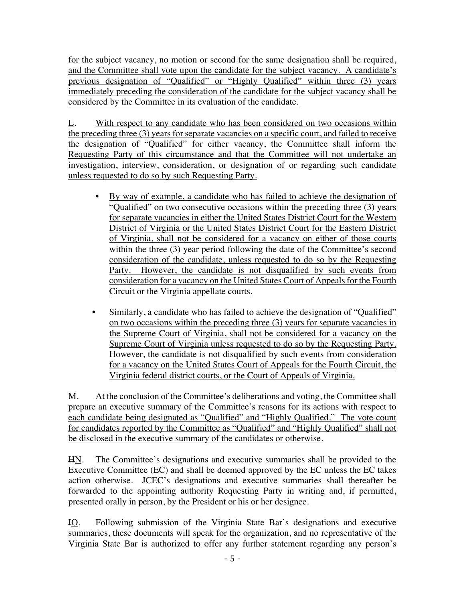for the subject vacancy, no motion or second for the same designation shall be required, and the Committee shall vote upon the candidate for the subject vacancy. A candidate's previous designation of "Qualified" or "Highly Qualified" within three (3) years immediately preceding the consideration of the candidate for the subject vacancy shall be considered by the Committee in its evaluation of the candidate.

L. With respect to any candidate who has been considered on two occasions within the preceding three (3) years for separate vacancies on a specific court, and failed to receive the designation of "Qualified" for either vacancy, the Committee shall inform the Requesting Party of this circumstance and that the Committee will not undertake an investigation, interview, consideration, or designation of or regarding such candidate unless requested to do so by such Requesting Party.

- By way of example, a candidate who has failed to achieve the designation of "Qualified" on two consecutive occasions within the preceding three (3) years for separate vacancies in either the United States District Court for the Western District of Virginia or the United States District Court for the Eastern District of Virginia, shall not be considered for a vacancy on either of those courts within the three (3) year period following the date of the Committee's second consideration of the candidate, unless requested to do so by the Requesting Party. However, the candidate is not disqualified by such events from consideration for a vacancy on the United States Court of Appeals for the Fourth Circuit or the Virginia appellate courts.
- Similarly, a candidate who has failed to achieve the designation of "Qualified" on two occasions within the preceding three (3) years for separate vacancies in the Supreme Court of Virginia, shall not be considered for a vacancy on the Supreme Court of Virginia unless requested to do so by the Requesting Party. However, the candidate is not disqualified by such events from consideration for a vacancy on the United States Court of Appeals for the Fourth Circuit, the Virginia federal district courts, or the Court of Appeals of Virginia.

M. At the conclusion of the Committee's deliberations and voting, the Committee shall prepare an executive summary of the Committee's reasons for its actions with respect to each candidate being designated as "Qualified" and "Highly Qualified." The vote count for candidates reported by the Committee as "Qualified" and "Highly Qualified" shall not be disclosed in the executive summary of the candidates or otherwise.

HN. The Committee's designations and executive summaries shall be provided to the Executive Committee (EC) and shall be deemed approved by the EC unless the EC takes action otherwise. JCEC's designations and executive summaries shall thereafter be forwarded to the appointing authority Requesting Party in writing and, if permitted, presented orally in person, by the President or his or her designee.

IO. Following submission of the Virginia State Bar's designations and executive summaries, these documents will speak for the organization, and no representative of the Virginia State Bar is authorized to offer any further statement regarding any person's